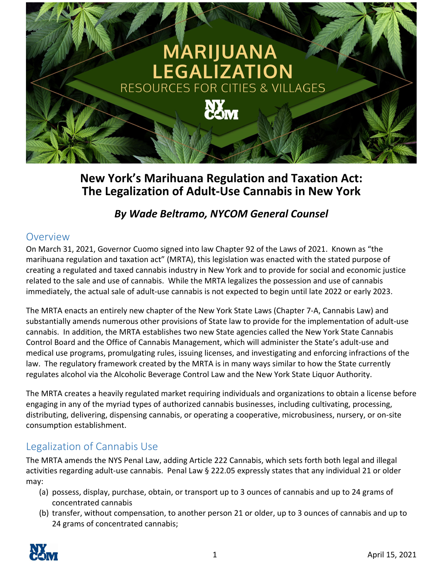

# **New York's Marihuana Regulation and Taxation Act: The Legalization of Adult‐Use Cannabis in New York**

## *By Wade Beltramo, NYCOM General Counsel*

#### Overview

On March 31, 2021, Governor Cuomo signed into law Chapter 92 of the Laws of 2021. Known as "the marihuana regulation and taxation act" (MRTA), this legislation was enacted with the stated purpose of creating a regulated and taxed cannabis industry in New York and to provide for social and economic justice related to the sale and use of cannabis. While the MRTA legalizes the possession and use of cannabis immediately, the actual sale of adult‐use cannabis is not expected to begin until late 2022 or early 2023.

The MRTA enacts an entirely new chapter of the New York State Laws (Chapter 7‐A, Cannabis Law) and substantially amends numerous other provisions of State law to provide for the implementation of adult‐use cannabis. In addition, the MRTA establishes two new State agencies called the New York State Cannabis Control Board and the Office of Cannabis Management, which will administer the State's adult‐use and medical use programs, promulgating rules, issuing licenses, and investigating and enforcing infractions of the law. The regulatory framework created by the MRTA is in many ways similar to how the State currently regulates alcohol via the Alcoholic Beverage Control Law and the New York State Liquor Authority.

The MRTA creates a heavily regulated market requiring individuals and organizations to obtain a license before engaging in any of the myriad types of authorized cannabis businesses, including cultivating, processing, distributing, delivering, dispensing cannabis, or operating a cooperative, microbusiness, nursery, or on‐site consumption establishment.

# Legalization of Cannabis Use

The MRTA amends the NYS Penal Law, adding Article 222 Cannabis, which sets forth both legal and illegal activities regarding adult‐use cannabis. Penal Law § 222.05 expressly states that any individual 21 or older may:

- (a) possess, display, purchase, obtain, or transport up to 3 ounces of cannabis and up to 24 grams of concentrated cannabis
- (b) transfer, without compensation, to another person 21 or older, up to 3 ounces of cannabis and up to 24 grams of concentrated cannabis;

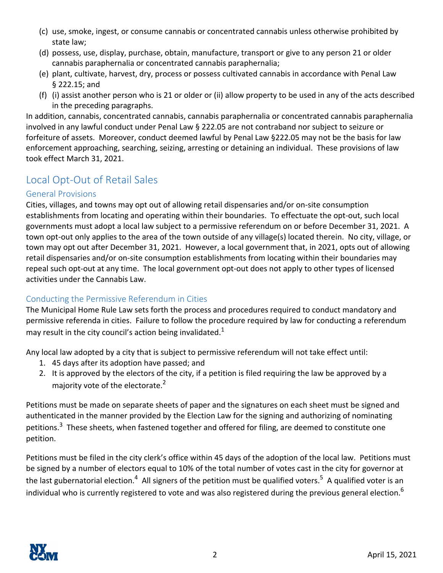- (c) use, smoke, ingest, or consume cannabis or concentrated cannabis unless otherwise prohibited by state law;
- (d) possess, use, display, purchase, obtain, manufacture, transport or give to any person 21 or older cannabis paraphernalia or concentrated cannabis paraphernalia;
- (e) plant, cultivate, harvest, dry, process or possess cultivated cannabis in accordance with Penal Law § 222.15; and
- (f) (i) assist another person who is 21 or older or (ii) allow property to be used in any of the acts described in the preceding paragraphs.

In addition, cannabis, concentrated cannabis, cannabis paraphernalia or concentrated cannabis paraphernalia involved in any lawful conduct under Penal Law § 222.05 are not contraband nor subject to seizure or forfeiture of assets. Moreover, conduct deemed lawful by Penal Law §222.05 may not be the basis for law enforcement approaching, searching, seizing, arresting or detaining an individual. These provisions of law took effect March 31, 2021.

# Local Opt‐Out of Retail Sales

#### General Provisions

Cities, villages, and towns may opt out of allowing retail dispensaries and/or on‐site consumption establishments from locating and operating within their boundaries. To effectuate the opt-out, such local governments must adopt a local law subject to a permissive referendum on or before December 31, 2021. A town opt-out only applies to the area of the town outside of any village(s) located therein. No city, village, or town may opt out after December 31, 2021. However, a local government that, in 2021, opts out of allowing retail dispensaries and/or on‐site consumption establishments from locating within their boundaries may repeal such opt-out at any time. The local government opt-out does not apply to other types of licensed activities under the Cannabis Law.

#### Conducting the Permissive Referendum in Cities

The Municipal Home Rule Law sets forth the process and procedures required to conduct mandatory and permissive referenda in cities. Failure to follow the procedure required by law for conducting a referendum may result in the city council's action being invalidated.<sup>1</sup>

Any local law adopted by a city that is subject to permissive referendum will not take effect until:

- 1. 45 days after its adoption have passed; and
- 2. It is approved by the electors of the city, if a petition is filed requiring the law be approved by a majority vote of the electorate.<sup>2</sup>

Petitions must be made on separate sheets of paper and the signatures on each sheet must be signed and authenticated in the manner provided by the Election Law for the signing and authorizing of nominating petitions.<sup>3</sup> These sheets, when fastened together and offered for filing, are deemed to constitute one petition.

Petitions must be filed in the city clerk's office within 45 days of the adoption of the local law. Petitions must be signed by a number of electors equal to 10% of the total number of votes cast in the city for governor at the last gubernatorial election.<sup>4</sup> All signers of the petition must be qualified voters.<sup>5</sup> A qualified voter is an individual who is currently registered to vote and was also registered during the previous general election.<sup>6</sup>

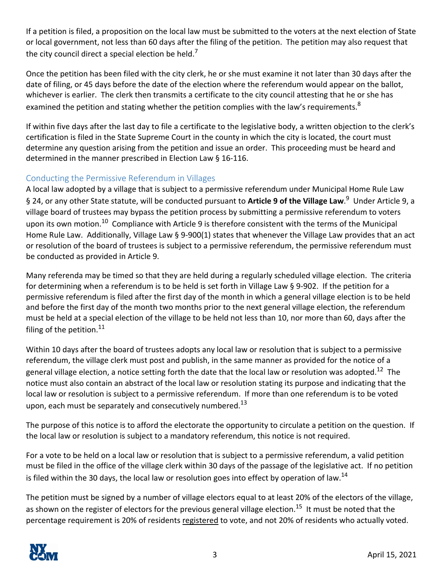If a petition is filed, a proposition on the local law must be submitted to the voters at the next election of State or local government, not less than 60 days after the filing of the petition. The petition may also request that the city council direct a special election be held.<sup>7</sup>

Once the petition has been filed with the city clerk, he or she must examine it not later than 30 days after the date of filing, or 45 days before the date of the election where the referendum would appear on the ballot, whichever is earlier. The clerk then transmits a certificate to the city council attesting that he or she has examined the petition and stating whether the petition complies with the law's requirements.<sup>8</sup>

If within five days after the last day to file a certificate to the legislative body, a written objection to the clerk's certification is filed in the State Supreme Court in the county in which the city is located, the court must determine any question arising from the petition and issue an order. This proceeding must be heard and determined in the manner prescribed in Election Law § 16‐116.

#### Conducting the Permissive Referendum in Villages

A local law adopted by a village that is subject to a permissive referendum under Municipal Home Rule Law § 24, or any other State statute, will be conducted pursuant to **Article 9 of the Village Law**. 9 Under Article 9, a village board of trustees may bypass the petition process by submitting a permissive referendum to voters upon its own motion.<sup>10</sup> Compliance with Article 9 is therefore consistent with the terms of the Municipal Home Rule Law. Additionally, Village Law § 9-900(1) states that whenever the Village Law provides that an act or resolution of the board of trustees is subject to a permissive referendum, the permissive referendum must be conducted as provided in Article 9.

Many referenda may be timed so that they are held during a regularly scheduled village election. The criteria for determining when a referendum is to be held is set forth in Village Law § 9-902. If the petition for a permissive referendum is filed after the first day of the month in which a general village election is to be held and before the first day of the month two months prior to the next general village election, the referendum must be held at a special election of the village to be held not less than 10, nor more than 60, days after the filing of the petition. $11$ 

Within 10 days after the board of trustees adopts any local law or resolution that is subject to a permissive referendum, the village clerk must post and publish, in the same manner as provided for the notice of a general village election, a notice setting forth the date that the local law or resolution was adopted.<sup>12</sup> The notice must also contain an abstract of the local law or resolution stating its purpose and indicating that the local law or resolution is subject to a permissive referendum. If more than one referendum is to be voted upon, each must be separately and consecutively numbered.<sup>13</sup>

The purpose of this notice is to afford the electorate the opportunity to circulate a petition on the question. If the local law or resolution is subject to a mandatory referendum, this notice is not required.

For a vote to be held on a local law or resolution that is subject to a permissive referendum, a valid petition must be filed in the office of the village clerk within 30 days of the passage of the legislative act. If no petition is filed within the 30 days, the local law or resolution goes into effect by operation of law.<sup>14</sup>

The petition must be signed by a number of village electors equal to at least 20% of the electors of the village, as shown on the register of electors for the previous general village election.<sup>15</sup> It must be noted that the percentage requirement is 20% of residents registered to vote, and not 20% of residents who actually voted.

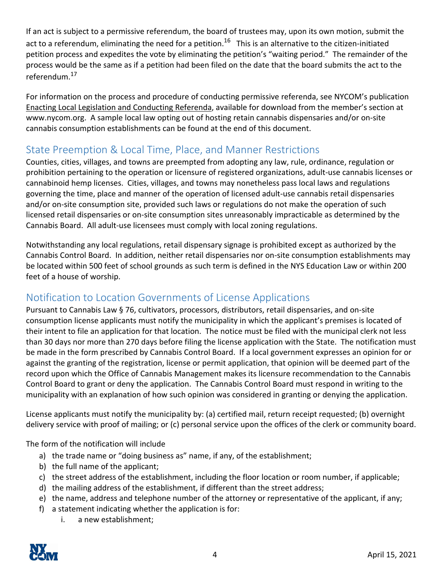If an act is subject to a permissive referendum, the board of trustees may, upon its own motion, submit the act to a referendum, eliminating the need for a petition.<sup>16</sup> This is an alternative to the citizen-initiated petition process and expedites the vote by eliminating the petition's "waiting period." The remainder of the process would be the same as if a petition had been filed on the date that the board submits the act to the referendum.17

For information on the process and procedure of conducting permissive referenda, see NYCOM's publication Enacting Local Legislation and Conducting Referenda, available for download from the member's section at www.nycom.org. A sample local law opting out of hosting retain cannabis dispensaries and/or on‐site cannabis consumption establishments can be found at the end of this document.

# State Preemption & Local Time, Place, and Manner Restrictions

Counties, cities, villages, and towns are preempted from adopting any law, rule, ordinance, regulation or prohibition pertaining to the operation or licensure of registered organizations, adult‐use cannabis licenses or cannabinoid hemp licenses. Cities, villages, and towns may nonetheless pass local laws and regulations governing the time, place and manner of the operation of licensed adult‐use cannabis retail dispensaries and/or on-site consumption site, provided such laws or regulations do not make the operation of such licensed retail dispensaries or on‐site consumption sites unreasonably impracticable as determined by the Cannabis Board. All adult‐use licensees must comply with local zoning regulations.

Notwithstanding any local regulations, retail dispensary signage is prohibited except as authorized by the Cannabis Control Board. In addition, neither retail dispensaries nor on‐site consumption establishments may be located within 500 feet of school grounds as such term is defined in the NYS Education Law or within 200 feet of a house of worship.

# Notification to Location Governments of License Applications

Pursuant to Cannabis Law § 76, cultivators, processors, distributors, retail dispensaries, and on‐site consumption license applicants must notify the municipality in which the applicant's premises is located of their intent to file an application for that location. The notice must be filed with the municipal clerk not less than 30 days nor more than 270 days before filing the license application with the State. The notification must be made in the form prescribed by Cannabis Control Board. If a local government expresses an opinion for or against the granting of the registration, license or permit application, that opinion will be deemed part of the record upon which the Office of Cannabis Management makes its licensure recommendation to the Cannabis Control Board to grant or deny the application. The Cannabis Control Board must respond in writing to the municipality with an explanation of how such opinion was considered in granting or denying the application.

License applicants must notify the municipality by: (a) certified mail, return receipt requested; (b) overnight delivery service with proof of mailing; or (c) personal service upon the offices of the clerk or community board.

The form of the notification will include

- a) the trade name or "doing business as" name, if any, of the establishment;
- b) the full name of the applicant;
- c) the street address of the establishment, including the floor location or room number, if applicable;
- d) the mailing address of the establishment, if different than the street address;
- e) the name, address and telephone number of the attorney or representative of the applicant, if any;
- f) a statement indicating whether the application is for:
	- i. a new establishment;

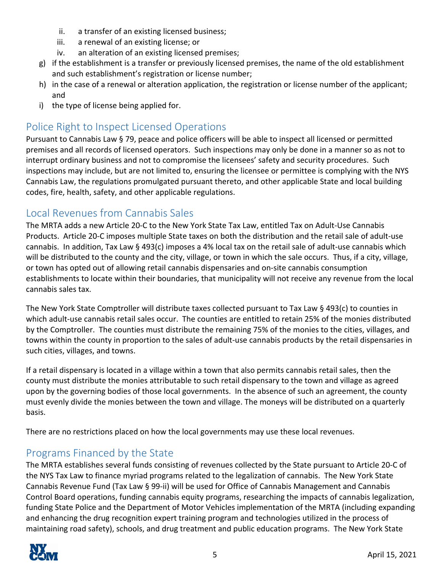- ii. a transfer of an existing licensed business;
- iii. a renewal of an existing license; or
- iv. an alteration of an existing licensed premises;
- g) if the establishment is a transfer or previously licensed premises, the name of the old establishment and such establishment's registration or license number;
- h) in the case of a renewal or alteration application, the registration or license number of the applicant; and
- i) the type of license being applied for.

## Police Right to Inspect Licensed Operations

Pursuant to Cannabis Law § 79, peace and police officers will be able to inspect all licensed or permitted premises and all records of licensed operators. Such inspections may only be done in a manner so as not to interrupt ordinary business and not to compromise the licensees' safety and security procedures. Such inspections may include, but are not limited to, ensuring the licensee or permittee is complying with the NYS Cannabis Law, the regulations promulgated pursuant thereto, and other applicable State and local building codes, fire, health, safety, and other applicable regulations.

#### Local Revenues from Cannabis Sales

The MRTA adds a new Article 20‐C to the New York State Tax Law, entitled Tax on Adult‐Use Cannabis Products. Article 20‐C imposes multiple State taxes on both the distribution and the retail sale of adult‐use cannabis. In addition, Tax Law § 493(c) imposes a 4% local tax on the retail sale of adult‐use cannabis which will be distributed to the county and the city, village, or town in which the sale occurs. Thus, if a city, village, or town has opted out of allowing retail cannabis dispensaries and on‐site cannabis consumption establishments to locate within their boundaries, that municipality will not receive any revenue from the local cannabis sales tax.

The New York State Comptroller will distribute taxes collected pursuant to Tax Law § 493(c) to counties in which adult‐use cannabis retail sales occur. The counties are entitled to retain 25% of the monies distributed by the Comptroller. The counties must distribute the remaining 75% of the monies to the cities, villages, and towns within the county in proportion to the sales of adult‐use cannabis products by the retail dispensaries in such cities, villages, and towns.

If a retail dispensary is located in a village within a town that also permits cannabis retail sales, then the county must distribute the monies attributable to such retail dispensary to the town and village as agreed upon by the governing bodies of those local governments. In the absence of such an agreement, the county must evenly divide the monies between the town and village. The moneys will be distributed on a quarterly basis.

There are no restrictions placed on how the local governments may use these local revenues.

### Programs Financed by the State

The MRTA establishes several funds consisting of revenues collected by the State pursuant to Article 20‐C of the NYS Tax Law to finance myriad programs related to the legalization of cannabis. The New York State Cannabis Revenue Fund (Tax Law § 99‐ii) will be used for Office of Cannabis Management and Cannabis Control Board operations, funding cannabis equity programs, researching the impacts of cannabis legalization, funding State Police and the Department of Motor Vehicles implementation of the MRTA (including expanding and enhancing the drug recognition expert training program and technologies utilized in the process of maintaining road safety), schools, and drug treatment and public education programs. The New York State

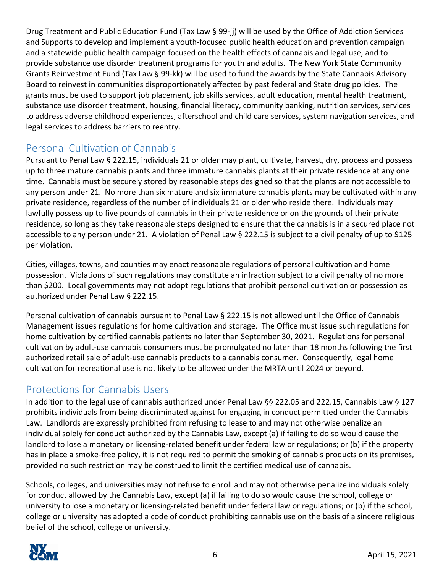Drug Treatment and Public Education Fund (Tax Law § 99‐jj) will be used by the Office of Addiction Services and Supports to develop and implement a youth‐focused public health education and prevention campaign and a statewide public health campaign focused on the health effects of cannabis and legal use, and to provide substance use disorder treatment programs for youth and adults. The New York State Community Grants Reinvestment Fund (Tax Law § 99‐kk) will be used to fund the awards by the State Cannabis Advisory Board to reinvest in communities disproportionately affected by past federal and State drug policies. The grants must be used to support job placement, job skills services, adult education, mental health treatment, substance use disorder treatment, housing, financial literacy, community banking, nutrition services, services to address adverse childhood experiences, afterschool and child care services, system navigation services, and legal services to address barriers to reentry.

## Personal Cultivation of Cannabis

Pursuant to Penal Law § 222.15, individuals 21 or older may plant, cultivate, harvest, dry, process and possess up to three mature cannabis plants and three immature cannabis plants at their private residence at any one time. Cannabis must be securely stored by reasonable steps designed so that the plants are not accessible to any person under 21. No more than six mature and six immature cannabis plants may be cultivated within any private residence, regardless of the number of individuals 21 or older who reside there. Individuals may lawfully possess up to five pounds of cannabis in their private residence or on the grounds of their private residence, so long as they take reasonable steps designed to ensure that the cannabis is in a secured place not accessible to any person under 21. A violation of Penal Law § 222.15 is subject to a civil penalty of up to \$125 per violation.

Cities, villages, towns, and counties may enact reasonable regulations of personal cultivation and home possession. Violations of such regulations may constitute an infraction subject to a civil penalty of no more than \$200. Local governments may not adopt regulations that prohibit personal cultivation or possession as authorized under Penal Law § 222.15.

Personal cultivation of cannabis pursuant to Penal Law § 222.15 is not allowed until the Office of Cannabis Management issues regulations for home cultivation and storage. The Office must issue such regulations for home cultivation by certified cannabis patients no later than September 30, 2021. Regulations for personal cultivation by adult‐use cannabis consumers must be promulgated no later than 18 months following the first authorized retail sale of adult-use cannabis products to a cannabis consumer. Consequently, legal home cultivation for recreational use is not likely to be allowed under the MRTA until 2024 or beyond.

### Protections for Cannabis Users

In addition to the legal use of cannabis authorized under Penal Law §§ 222.05 and 222.15, Cannabis Law § 127 prohibits individuals from being discriminated against for engaging in conduct permitted under the Cannabis Law. Landlords are expressly prohibited from refusing to lease to and may not otherwise penalize an individual solely for conduct authorized by the Cannabis Law, except (a) if failing to do so would cause the landlord to lose a monetary or licensing-related benefit under federal law or regulations; or (b) if the property has in place a smoke-free policy, it is not required to permit the smoking of cannabis products on its premises, provided no such restriction may be construed to limit the certified medical use of cannabis.

Schools, colleges, and universities may not refuse to enroll and may not otherwise penalize individuals solely for conduct allowed by the Cannabis Law, except (a) if failing to do so would cause the school, college or university to lose a monetary or licensing-related benefit under federal law or regulations; or (b) if the school, college or university has adopted a code of conduct prohibiting cannabis use on the basis of a sincere religious belief of the school, college or university.

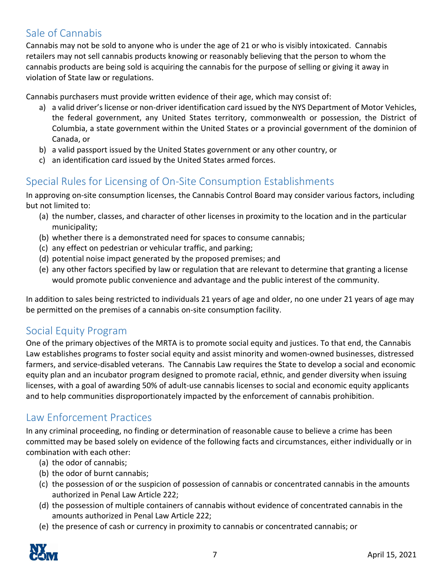## Sale of Cannabis

Cannabis may not be sold to anyone who is under the age of 21 or who is visibly intoxicated. Cannabis retailers may not sell cannabis products knowing or reasonably believing that the person to whom the cannabis products are being sold is acquiring the cannabis for the purpose of selling or giving it away in violation of State law or regulations.

Cannabis purchasers must provide written evidence of their age, which may consist of:

- a) a valid driver's license or non-driver identification card issued by the NYS Department of Motor Vehicles, the federal government, any United States territory, commonwealth or possession, the District of Columbia, a state government within the United States or a provincial government of the dominion of Canada, or
- b) a valid passport issued by the United States government or any other country, or
- c) an identification card issued by the United States armed forces.

### Special Rules for Licensing of On‐Site Consumption Establishments

In approving on‐site consumption licenses, the Cannabis Control Board may consider various factors, including but not limited to:

- (a) the number, classes, and character of other licenses in proximity to the location and in the particular municipality;
- (b) whether there is a demonstrated need for spaces to consume cannabis;
- (c) any effect on pedestrian or vehicular traffic, and parking;
- (d) potential noise impact generated by the proposed premises; and
- (e) any other factors specified by law or regulation that are relevant to determine that granting a license would promote public convenience and advantage and the public interest of the community.

In addition to sales being restricted to individuals 21 years of age and older, no one under 21 years of age may be permitted on the premises of a cannabis on‐site consumption facility.

### Social Equity Program

One of the primary objectives of the MRTA is to promote social equity and justices. To that end, the Cannabis Law establishes programs to foster social equity and assist minority and women‐owned businesses, distressed farmers, and service‐disabled veterans. The Cannabis Law requires the State to develop a social and economic equity plan and an incubator program designed to promote racial, ethnic, and gender diversity when issuing licenses, with a goal of awarding 50% of adult‐use cannabis licenses to social and economic equity applicants and to help communities disproportionately impacted by the enforcement of cannabis prohibition.

#### Law Enforcement Practices

In any criminal proceeding, no finding or determination of reasonable cause to believe a crime has been committed may be based solely on evidence of the following facts and circumstances, either individually or in combination with each other:

- (a) the odor of cannabis;
- (b) the odor of burnt cannabis;
- (c) the possession of or the suspicion of possession of cannabis or concentrated cannabis in the amounts authorized in Penal Law Article 222;
- (d) the possession of multiple containers of cannabis without evidence of concentrated cannabis in the amounts authorized in Penal Law Article 222;
- (e) the presence of cash or currency in proximity to cannabis or concentrated cannabis; or

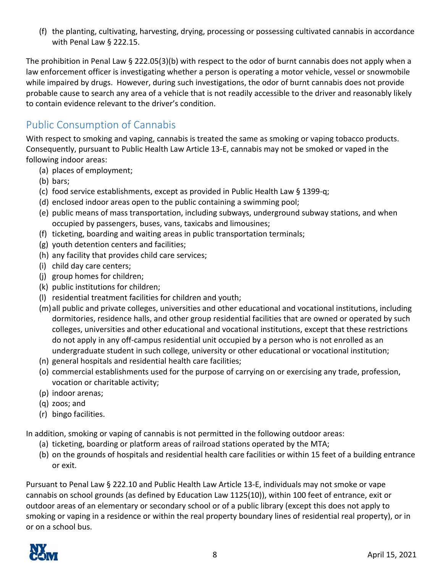(f) the planting, cultivating, harvesting, drying, processing or possessing cultivated cannabis in accordance with Penal Law § 222.15.

The prohibition in Penal Law § 222.05(3)(b) with respect to the odor of burnt cannabis does not apply when a law enforcement officer is investigating whether a person is operating a motor vehicle, vessel or snowmobile while impaired by drugs. However, during such investigations, the odor of burnt cannabis does not provide probable cause to search any area of a vehicle that is not readily accessible to the driver and reasonably likely to contain evidence relevant to the driver's condition.

## Public Consumption of Cannabis

With respect to smoking and vaping, cannabis is treated the same as smoking or vaping tobacco products. Consequently, pursuant to Public Health Law Article 13‐E, cannabis may not be smoked or vaped in the following indoor areas:

- (a) places of employment;
- (b) bars;
- (c) food service establishments, except as provided in Public Health Law § 1399‐q;
- (d) enclosed indoor areas open to the public containing a swimming pool;
- (e) public means of mass transportation, including subways, underground subway stations, and when occupied by passengers, buses, vans, taxicabs and limousines;
- (f) ticketing, boarding and waiting areas in public transportation terminals;
- (g) youth detention centers and facilities;
- (h) any facility that provides child care services;
- (i) child day care centers;
- (j) group homes for children;
- (k) public institutions for children;
- (l) residential treatment facilities for children and youth;
- (m)all public and private colleges, universities and other educational and vocational institutions, including dormitories, residence halls, and other group residential facilities that are owned or operated by such colleges, universities and other educational and vocational institutions, except that these restrictions do not apply in any off‐campus residential unit occupied by a person who is not enrolled as an undergraduate student in such college, university or other educational or vocational institution;
- (n) general hospitals and residential health care facilities;
- (o) commercial establishments used for the purpose of carrying on or exercising any trade, profession, vocation or charitable activity;
- (p) indoor arenas;
- (q) zoos; and
- (r) bingo facilities.

In addition, smoking or vaping of cannabis is not permitted in the following outdoor areas:

- (a) ticketing, boarding or platform areas of railroad stations operated by the MTA;
- (b) on the grounds of hospitals and residential health care facilities or within 15 feet of a building entrance or exit.

Pursuant to Penal Law § 222.10 and Public Health Law Article 13‐E, individuals may not smoke or vape cannabis on school grounds (as defined by Education Law 1125(10)), within 100 feet of entrance, exit or outdoor areas of an elementary or secondary school or of a public library (except this does not apply to smoking or vaping in a residence or within the real property boundary lines of residential real property), or in or on a school bus.

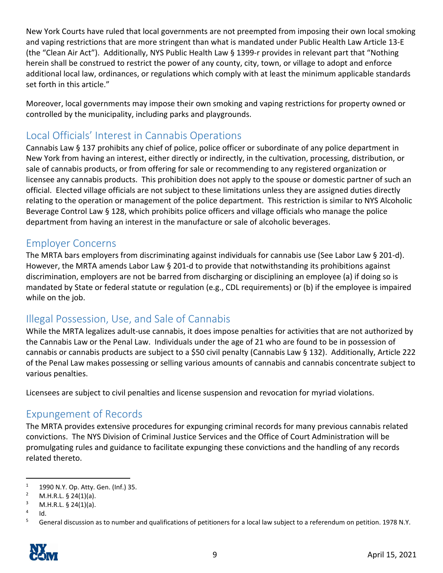New York Courts have ruled that local governments are not preempted from imposing their own local smoking and vaping restrictions that are more stringent than what is mandated under Public Health Law Article 13‐E (the "Clean Air Act"). Additionally, NYS Public Health Law § 1399‐r provides in relevant part that "Nothing herein shall be construed to restrict the power of any county, city, town, or village to adopt and enforce additional local law, ordinances, or regulations which comply with at least the minimum applicable standards set forth in this article."

Moreover, local governments may impose their own smoking and vaping restrictions for property owned or controlled by the municipality, including parks and playgrounds.

## Local Officials' Interest in Cannabis Operations

Cannabis Law § 137 prohibits any chief of police, police officer or subordinate of any police department in New York from having an interest, either directly or indirectly, in the cultivation, processing, distribution, or sale of cannabis products, or from offering for sale or recommending to any registered organization or licensee any cannabis products. This prohibition does not apply to the spouse or domestic partner of such an official. Elected village officials are not subject to these limitations unless they are assigned duties directly relating to the operation or management of the police department. This restriction is similar to NYS Alcoholic Beverage Control Law § 128, which prohibits police officers and village officials who manage the police department from having an interest in the manufacture or sale of alcoholic beverages.

#### Employer Concerns

The MRTA bars employers from discriminating against individuals for cannabis use (See Labor Law § 201-d). However, the MRTA amends Labor Law § 201-d to provide that notwithstanding its prohibitions against discrimination, employers are not be barred from discharging or disciplining an employee (a) if doing so is mandated by State or federal statute or regulation (e.g., CDL requirements) or (b) if the employee is impaired while on the job.

### Illegal Possession, Use, and Sale of Cannabis

While the MRTA legalizes adult‐use cannabis, it does impose penalties for activities that are not authorized by the Cannabis Law or the Penal Law. Individuals under the age of 21 who are found to be in possession of cannabis or cannabis products are subject to a \$50 civil penalty (Cannabis Law § 132). Additionally, Article 222 of the Penal Law makes possessing or selling various amounts of cannabis and cannabis concentrate subject to various penalties.

Licensees are subject to civil penalties and license suspension and revocation for myriad violations.

#### Expungement of Records

The MRTA provides extensive procedures for expunging criminal records for many previous cannabis related convictions. The NYS Division of Criminal Justice Services and the Office of Court Administration will be promulgating rules and guidance to facilitate expunging these convictions and the handling of any records related thereto.

<sup>&</sup>lt;sup>5</sup> General discussion as to number and qualifications of petitioners for a local law subject to a referendum on petition. 1978 N.Y.



<sup>1 1990</sup> N.Y. Op. Atty. Gen. (Inf.) 35. 

M.H.R.L.  $\S$  24(1)(a).

 $\frac{3}{4}$  M.H.R.L. § 24(1)(a).

Id.